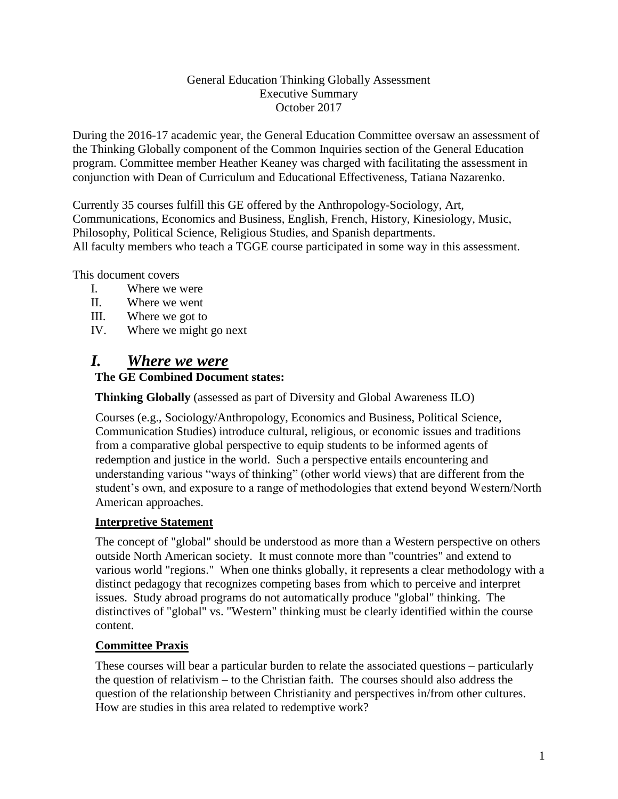#### General Education Thinking Globally Assessment Executive Summary October 2017

During the 2016-17 academic year, the General Education Committee oversaw an assessment of the Thinking Globally component of the Common Inquiries section of the General Education program. Committee member Heather Keaney was charged with facilitating the assessment in conjunction with Dean of Curriculum and Educational Effectiveness, Tatiana Nazarenko.

Currently 35 courses fulfill this GE offered by the Anthropology-Sociology, Art,

Communications, Economics and Business, English, French, History, Kinesiology, Music, Philosophy, Political Science, Religious Studies, and Spanish departments.

All faculty members who teach a TGGE course participated in some way in this assessment.

This document covers

- I. Where we were
- II. Where we went
- III. Where we got to
- IV. Where we might go next

# *I. Where we were*

#### **The GE Combined Document states:**

**Thinking Globally** (assessed as part of Diversity and Global Awareness ILO)

Courses (e.g., Sociology/Anthropology, Economics and Business, Political Science, Communication Studies) introduce cultural, religious, or economic issues and traditions from a comparative global perspective to equip students to be informed agents of redemption and justice in the world. Such a perspective entails encountering and understanding various "ways of thinking" (other world views) that are different from the student's own, and exposure to a range of methodologies that extend beyond Western/North American approaches.

#### **Interpretive Statement**

The concept of "global" should be understood as more than a Western perspective on others outside North American society. It must connote more than "countries" and extend to various world "regions." When one thinks globally, it represents a clear methodology with a distinct pedagogy that recognizes competing bases from which to perceive and interpret issues. Study abroad programs do not automatically produce "global" thinking. The distinctives of "global" vs. "Western" thinking must be clearly identified within the course content.

#### **Committee Praxis**

These courses will bear a particular burden to relate the associated questions – particularly the question of relativism – to the Christian faith. The courses should also address the question of the relationship between Christianity and perspectives in/from other cultures. How are studies in this area related to redemptive work?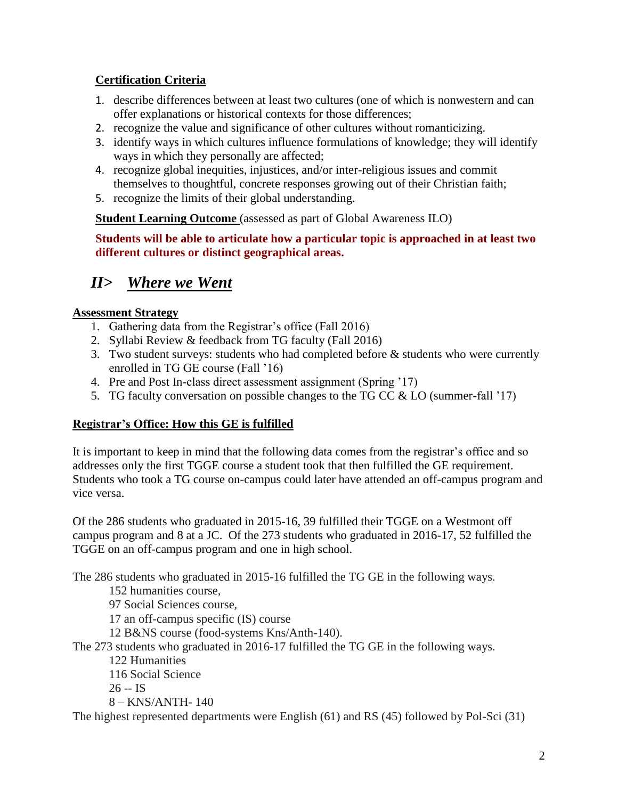## **Certification Criteria**

- 1. describe differences between at least two cultures (one of which is nonwestern and can offer explanations or historical contexts for those differences;
- 2. recognize the value and significance of other cultures without romanticizing.
- 3. identify ways in which cultures influence formulations of knowledge; they will identify ways in which they personally are affected;
- 4. recognize global inequities, injustices, and/or inter-religious issues and commit themselves to thoughtful, concrete responses growing out of their Christian faith;
- 5. recognize the limits of their global understanding.

**Student Learning Outcome** (assessed as part of Global Awareness ILO)

**Students will be able to articulate how a particular topic is approached in at least two different cultures or distinct geographical areas.** 

# *II> Where we Went*

## **Assessment Strategy**

- 1. Gathering data from the Registrar's office (Fall 2016)
- 2. Syllabi Review & feedback from TG faculty (Fall 2016)
- 3. Two student surveys: students who had completed before  $\&$  students who were currently enrolled in TG GE course (Fall '16)
- 4. Pre and Post In-class direct assessment assignment (Spring '17)
- 5. TG faculty conversation on possible changes to the TG CC & LO (summer-fall '17)

## **Registrar's Office: How this GE is fulfilled**

It is important to keep in mind that the following data comes from the registrar's office and so addresses only the first TGGE course a student took that then fulfilled the GE requirement. Students who took a TG course on-campus could later have attended an off-campus program and vice versa.

Of the 286 students who graduated in 2015-16, 39 fulfilled their TGGE on a Westmont off campus program and 8 at a JC. Of the 273 students who graduated in 2016-17, 52 fulfilled the TGGE on an off-campus program and one in high school.

The 286 students who graduated in 2015-16 fulfilled the TG GE in the following ways.

152 humanities course,

97 Social Sciences course,

17 an off-campus specific (IS) course

12 B&NS course (food-systems Kns/Anth-140).

The 273 students who graduated in 2016-17 fulfilled the TG GE in the following ways.

122 Humanities

116 Social Science

26 -- IS

8 – KNS/ANTH- 140

The highest represented departments were English (61) and RS (45) followed by Pol-Sci (31)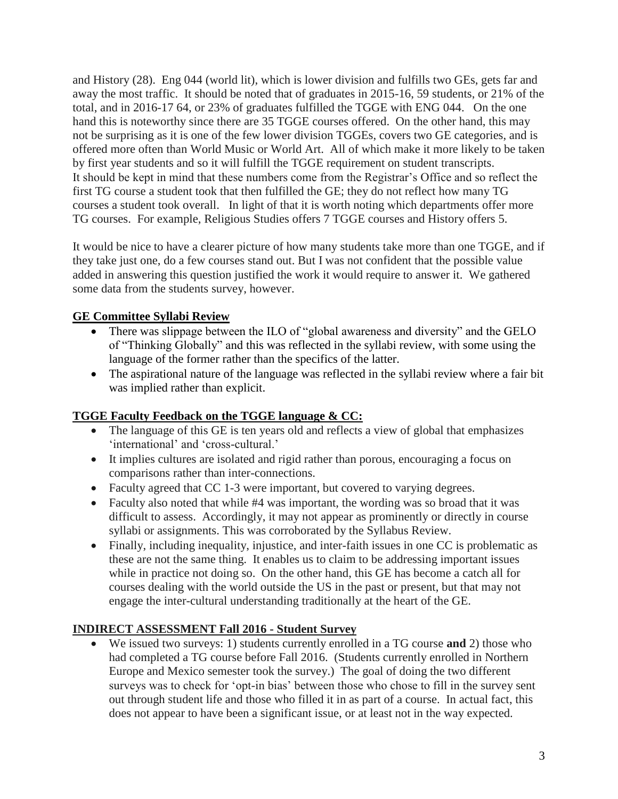and History (28). Eng 044 (world lit), which is lower division and fulfills two GEs, gets far and away the most traffic. It should be noted that of graduates in 2015-16, 59 students, or 21% of the total, and in 2016-17 64, or 23% of graduates fulfilled the TGGE with ENG 044. On the one hand this is noteworthy since there are 35 TGGE courses offered. On the other hand, this may not be surprising as it is one of the few lower division TGGEs, covers two GE categories, and is offered more often than World Music or World Art. All of which make it more likely to be taken by first year students and so it will fulfill the TGGE requirement on student transcripts. It should be kept in mind that these numbers come from the Registrar's Office and so reflect the first TG course a student took that then fulfilled the GE; they do not reflect how many TG courses a student took overall. In light of that it is worth noting which departments offer more TG courses. For example, Religious Studies offers 7 TGGE courses and History offers 5.

It would be nice to have a clearer picture of how many students take more than one TGGE, and if they take just one, do a few courses stand out. But I was not confident that the possible value added in answering this question justified the work it would require to answer it. We gathered some data from the students survey, however.

## **GE Committee Syllabi Review**

- There was slippage between the ILO of "global awareness and diversity" and the GELO of "Thinking Globally" and this was reflected in the syllabi review, with some using the language of the former rather than the specifics of the latter.
- The aspirational nature of the language was reflected in the syllabi review where a fair bit was implied rather than explicit.

#### **TGGE Faculty Feedback on the TGGE language & CC:**

- The language of this GE is ten years old and reflects a view of global that emphasizes 'international' and 'cross-cultural.'
- It implies cultures are isolated and rigid rather than porous, encouraging a focus on comparisons rather than inter-connections.
- Faculty agreed that CC 1-3 were important, but covered to varying degrees.
- Faculty also noted that while #4 was important, the wording was so broad that it was difficult to assess. Accordingly, it may not appear as prominently or directly in course syllabi or assignments. This was corroborated by the Syllabus Review.
- Finally, including inequality, injustice, and inter-faith issues in one CC is problematic as these are not the same thing. It enables us to claim to be addressing important issues while in practice not doing so. On the other hand, this GE has become a catch all for courses dealing with the world outside the US in the past or present, but that may not engage the inter-cultural understanding traditionally at the heart of the GE.

#### **INDIRECT ASSESSMENT Fall 2016 - Student Survey**

 We issued two surveys: 1) students currently enrolled in a TG course **and** 2) those who had completed a TG course before Fall 2016. (Students currently enrolled in Northern Europe and Mexico semester took the survey.) The goal of doing the two different surveys was to check for 'opt-in bias' between those who chose to fill in the survey sent out through student life and those who filled it in as part of a course. In actual fact, this does not appear to have been a significant issue, or at least not in the way expected.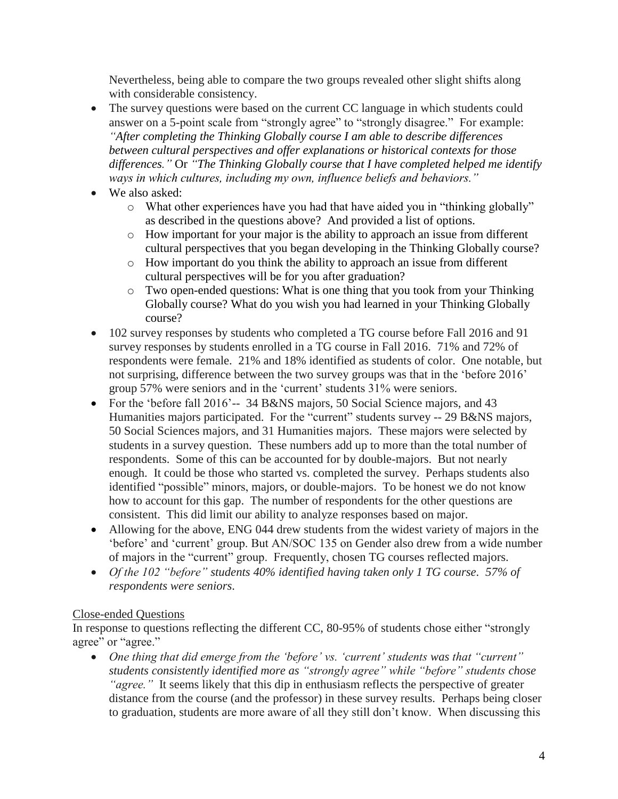Nevertheless, being able to compare the two groups revealed other slight shifts along with considerable consistency.

- The survey questions were based on the current CC language in which students could answer on a 5-point scale from "strongly agree" to "strongly disagree." For example: *"After completing the Thinking Globally course I am able to describe differences between cultural perspectives and offer explanations or historical contexts for those differences."* Or *"The Thinking Globally course that I have completed helped me identify ways in which cultures, including my own, influence beliefs and behaviors."*
- We also asked:
	- o What other experiences have you had that have aided you in "thinking globally" as described in the questions above? And provided a list of options.
	- o How important for your major is the ability to approach an issue from different cultural perspectives that you began developing in the Thinking Globally course?
	- o How important do you think the ability to approach an issue from different cultural perspectives will be for you after graduation?
	- o Two open-ended questions: What is one thing that you took from your Thinking Globally course? What do you wish you had learned in your Thinking Globally course?
- 102 survey responses by students who completed a TG course before Fall 2016 and 91 survey responses by students enrolled in a TG course in Fall 2016. 71% and 72% of respondents were female. 21% and 18% identified as students of color. One notable, but not surprising, difference between the two survey groups was that in the 'before 2016' group 57% were seniors and in the 'current' students 31% were seniors.
- For the 'before fall 2016'-- 34 B&NS majors, 50 Social Science majors, and 43 Humanities majors participated. For the "current" students survey -- 29 B&NS majors, 50 Social Sciences majors, and 31 Humanities majors. These majors were selected by students in a survey question. These numbers add up to more than the total number of respondents. Some of this can be accounted for by double-majors. But not nearly enough. It could be those who started vs. completed the survey. Perhaps students also identified "possible" minors, majors, or double-majors. To be honest we do not know how to account for this gap. The number of respondents for the other questions are consistent. This did limit our ability to analyze responses based on major.
- Allowing for the above, ENG 044 drew students from the widest variety of majors in the 'before' and 'current' group. But AN/SOC 135 on Gender also drew from a wide number of majors in the "current" group. Frequently, chosen TG courses reflected majors.
- *Of the 102 "before" students 40% identified having taken only 1 TG course. 57% of respondents were seniors.*

#### Close-ended Questions

In response to questions reflecting the different CC, 80-95% of students chose either "strongly agree" or "agree."

 *One thing that did emerge from the 'before' vs. 'current' students was that "current" students consistently identified more as "strongly agree" while "before" students chose "agree.*" It seems likely that this dip in enthusiasm reflects the perspective of greater distance from the course (and the professor) in these survey results. Perhaps being closer to graduation, students are more aware of all they still don't know. When discussing this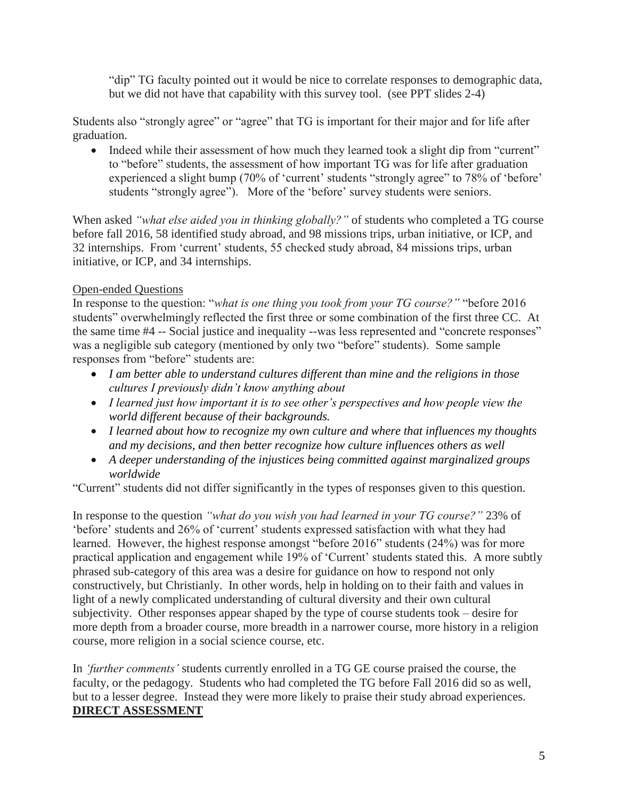"dip" TG faculty pointed out it would be nice to correlate responses to demographic data, but we did not have that capability with this survey tool. (see PPT slides 2-4)

Students also "strongly agree" or "agree" that TG is important for their major and for life after graduation.

• Indeed while their assessment of how much they learned took a slight dip from "current" to "before" students, the assessment of how important TG was for life after graduation experienced a slight bump (70% of 'current' students "strongly agree" to 78% of 'before' students "strongly agree"). More of the 'before' survey students were seniors.

When asked *"what else aided you in thinking globally?"* of students who completed a TG course before fall 2016, 58 identified study abroad, and 98 missions trips, urban initiative, or ICP, and 32 internships. From 'current' students, 55 checked study abroad, 84 missions trips, urban initiative, or ICP, and 34 internships.

#### Open-ended Questions

In response to the question: "*what is one thing you took from your TG course?"* "before 2016 students" overwhelmingly reflected the first three or some combination of the first three CC. At the same time #4 -- Social justice and inequality --was less represented and "concrete responses" was a negligible sub category (mentioned by only two "before" students). Some sample responses from "before" students are:

- *I am better able to understand cultures different than mine and the religions in those cultures I previously didn't know anything about*
- *I learned just how important it is to see other's perspectives and how people view the world different because of their backgrounds.*
- *I learned about how to recognize my own culture and where that influences my thoughts and my decisions, and then better recognize how culture influences others as well*
- *A deeper understanding of the injustices being committed against marginalized groups worldwide*

"Current" students did not differ significantly in the types of responses given to this question.

In response to the question *"what do you wish you had learned in your TG course?"* 23% of 'before' students and 26% of 'current' students expressed satisfaction with what they had learned. However, the highest response amongst "before 2016" students (24%) was for more practical application and engagement while 19% of 'Current' students stated this. A more subtly phrased sub-category of this area was a desire for guidance on how to respond not only constructively, but Christianly. In other words, help in holding on to their faith and values in light of a newly complicated understanding of cultural diversity and their own cultural subjectivity. Other responses appear shaped by the type of course students took – desire for more depth from a broader course, more breadth in a narrower course, more history in a religion course, more religion in a social science course, etc.

In *'further comments'* students currently enrolled in a TG GE course praised the course, the faculty, or the pedagogy. Students who had completed the TG before Fall 2016 did so as well, but to a lesser degree. Instead they were more likely to praise their study abroad experiences. **DIRECT ASSESSMENT**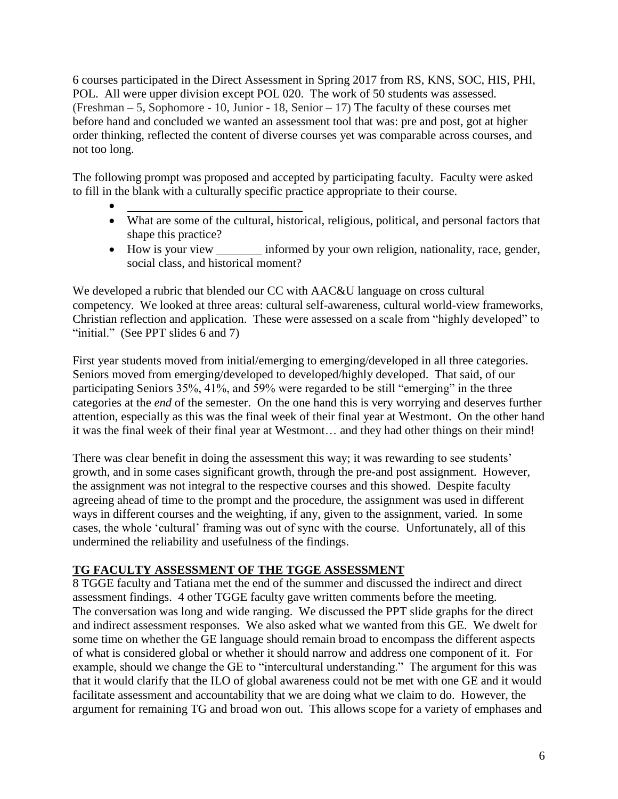6 courses participated in the Direct Assessment in Spring 2017 from RS, KNS, SOC, HIS, PHI, POL. All were upper division except POL 020. The work of 50 students was assessed. (Freshman – 5, Sophomore - 10, Junior - 18, Senior – 17) The faculty of these courses met before hand and concluded we wanted an assessment tool that was: pre and post, got at higher order thinking, reflected the content of diverse courses yet was comparable across courses, and not too long.

The following prompt was proposed and accepted by participating faculty. Faculty were asked to fill in the blank with a culturally specific practice appropriate to their course.

- $\bullet$  What are some of the cultural, historical, religious, political, and personal factors that shape this practice?
- How is your view \_\_\_\_\_\_\_ informed by your own religion, nationality, race, gender, social class, and historical moment?

We developed a rubric that blended our CC with AAC&U language on cross cultural competency. We looked at three areas: cultural self-awareness, cultural world-view frameworks, Christian reflection and application. These were assessed on a scale from "highly developed" to "initial." (See PPT slides 6 and 7)

First year students moved from initial/emerging to emerging/developed in all three categories. Seniors moved from emerging/developed to developed/highly developed. That said, of our participating Seniors 35%, 41%, and 59% were regarded to be still "emerging" in the three categories at the *end* of the semester. On the one hand this is very worrying and deserves further attention, especially as this was the final week of their final year at Westmont. On the other hand it was the final week of their final year at Westmont… and they had other things on their mind!

There was clear benefit in doing the assessment this way; it was rewarding to see students' growth, and in some cases significant growth, through the pre-and post assignment. However, the assignment was not integral to the respective courses and this showed. Despite faculty agreeing ahead of time to the prompt and the procedure, the assignment was used in different ways in different courses and the weighting, if any, given to the assignment, varied. In some cases, the whole 'cultural' framing was out of sync with the course. Unfortunately, all of this undermined the reliability and usefulness of the findings.

# **TG FACULTY ASSESSMENT OF THE TGGE ASSESSMENT**

8 TGGE faculty and Tatiana met the end of the summer and discussed the indirect and direct assessment findings. 4 other TGGE faculty gave written comments before the meeting. The conversation was long and wide ranging. We discussed the PPT slide graphs for the direct and indirect assessment responses. We also asked what we wanted from this GE. We dwelt for some time on whether the GE language should remain broad to encompass the different aspects of what is considered global or whether it should narrow and address one component of it. For example, should we change the GE to "intercultural understanding." The argument for this was that it would clarify that the ILO of global awareness could not be met with one GE and it would facilitate assessment and accountability that we are doing what we claim to do. However, the argument for remaining TG and broad won out. This allows scope for a variety of emphases and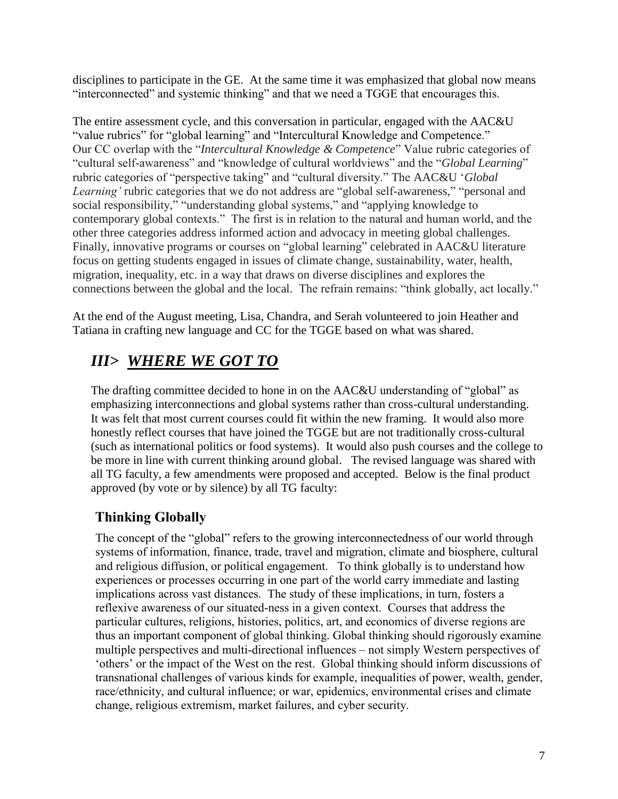disciplines to participate in the GE. At the same time it was emphasized that global now means "interconnected" and systemic thinking" and that we need a TGGE that encourages this.

The entire assessment cycle, and this conversation in particular, engaged with the AAC&U "value rubrics" for "global learning" and "Intercultural Knowledge and Competence." Our CC overlap with the "*Intercultural Knowledge & Competence*" Value rubric categories of "cultural self-awareness" and "knowledge of cultural worldviews" and the "*Global Learning*" rubric categories of "perspective taking" and "cultural diversity." The AAC&U '*Global Learning'* rubric categories that we do not address are "global self-awareness," "personal and social responsibility," "understanding global systems," and "applying knowledge to contemporary global contexts." The first is in relation to the natural and human world, and the other three categories address informed action and advocacy in meeting global challenges. Finally, innovative programs or courses on "global learning" celebrated in AAC&U literature focus on getting students engaged in issues of climate change, sustainability, water, health, migration, inequality, etc. in a way that draws on diverse disciplines and explores the connections between the global and the local. The refrain remains: "think globally, act locally."

At the end of the August meeting, Lisa, Chandra, and Serah volunteered to join Heather and Tatiana in crafting new language and CC for the TGGE based on what was shared.

# *III> WHERE WE GOT TO*

The drafting committee decided to hone in on the AAC&U understanding of "global" as emphasizing interconnections and global systems rather than cross-cultural understanding. It was felt that most current courses could fit within the new framing. It would also more honestly reflect courses that have joined the TGGE but are not traditionally cross-cultural (such as international politics or food systems). It would also push courses and the college to be more in line with current thinking around global. The revised language was shared with all TG faculty, a few amendments were proposed and accepted. Below is the final product approved (by vote or by silence) by all TG faculty:

# **Thinking Globally**

The concept of the "global" refers to the growing interconnectedness of our world through systems of information, finance, trade, travel and migration, climate and biosphere, cultural and religious diffusion, or political engagement. To think globally is to understand how experiences or processes occurring in one part of the world carry immediate and lasting implications across vast distances. The study of these implications, in turn, fosters a reflexive awareness of our situated-ness in a given context. Courses that address the particular cultures, religions, histories, politics, art, and economics of diverse regions are thus an important component of global thinking. Global thinking should rigorously examine multiple perspectives and multi-directional influences – not simply Western perspectives of 'others' or the impact of the West on the rest. Global thinking should inform discussions of transnational challenges of various kinds for example, inequalities of power, wealth, gender, race/ethnicity, and cultural influence; or war, epidemics, environmental crises and climate change, religious extremism, market failures, and cyber security.